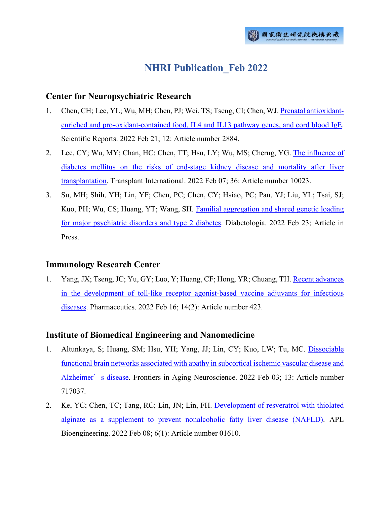# **NHRI Publication\_Feb 2022**

## **Center for Neuropsychiatric Research**

- 1. Chen, CH; Lee, YL; Wu, MH; Chen, PJ; Wei, TS; Tseng, CI; Chen, WJ. [Prenatal antioxidant](http://ir.nhri.edu.tw/handle/3990099045/14044)[enriched and pro-oxidant-contained food, IL4 and IL13 pathway genes, and cord blood IgE.](http://ir.nhri.edu.tw/handle/3990099045/14044) Scientific Reports. 2022 Feb 21; 12: Article number 2884.
- 2. Lee, CY; Wu, MY; Chan, HC; Chen, TT; Hsu, LY; Wu, MS; Cherng, YG. [The influence of](http://ir.nhri.edu.tw/handle/3990099045/14059)  [diabetes mellitus on the risks of end-stage kidney disease and mortality after liver](http://ir.nhri.edu.tw/handle/3990099045/14059)  [transplantation.](http://ir.nhri.edu.tw/handle/3990099045/14059) Transplant International. 2022 Feb 07; 36: Article number 10023.
- 3. Su, MH; Shih, YH; Lin, YF; Chen, PC; Chen, CY; Hsiao, PC; Pan, YJ; Liu, YL; Tsai, SJ; Kuo, PH; Wu, CS; Huang, YT; Wang, SH. [Familial aggregation and shared genetic loading](http://ir.nhri.edu.tw/handle/3990099045/14063)  [for major psychiatric disorders and type 2 diabetes.](http://ir.nhri.edu.tw/handle/3990099045/14063) Diabetologia. 2022 Feb 23; Article in Press.

# **Immunology Research Center**

1. Yang, JX; Tseng, JC; Yu, GY; Luo, Y; Huang, CF; Hong, YR; Chuang, TH. [Recent advances](http://ir.nhri.edu.tw/handle/3990099045/14072)  in the [development of toll-like receptor agonist-based vaccine adjuvants for infectious](http://ir.nhri.edu.tw/handle/3990099045/14072)  [diseases.](http://ir.nhri.edu.tw/handle/3990099045/14072) Pharmaceutics. 2022 Feb 16; 14(2): Article number 423.

# **Institute of Biomedical Engineering and Nanomedicine**

- 1. Altunkaya, S; Huang, SM; Hsu, YH; Yang, JJ; Lin, CY; Kuo, LW; Tu, MC. [Dissociable](http://ir.nhri.edu.tw/handle/3990099045/14041)  [functional brain networks associated with apathy in subcortical ischemic vascular disease and](http://ir.nhri.edu.tw/handle/3990099045/14041)  [Alzheimer](http://ir.nhri.edu.tw/handle/3990099045/14041)'s disease. Frontiers in Aging Neuroscience. 2022 Feb 03; 13: Article number 717037.
- 2. Ke, YC; Chen, TC; Tang, RC; Lin, JN; Lin, FH. [Development of resveratrol with thiolated](http://ir.nhri.edu.tw/handle/3990099045/14056)  [alginate as a supplement to prevent nonalcoholic fatty liver disease \(NAFLD\).](http://ir.nhri.edu.tw/handle/3990099045/14056) APL Bioengineering. 2022 Feb 08; 6(1): Article number 01610.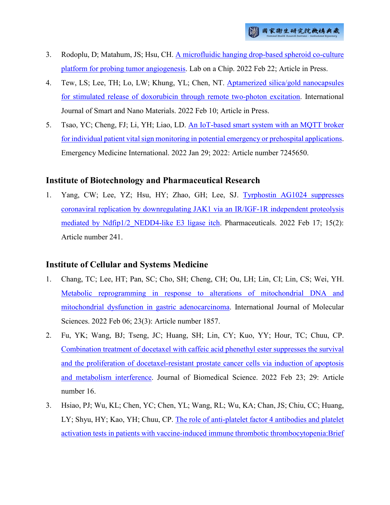- 3. Rodoplu, D; Matahum, JS; Hsu, CH. [A microfluidic hanging drop-based spheroid co-culture](http://ir.nhri.edu.tw/handle/3990099045/14062)  [platform for probing tumor angiogenesis.](http://ir.nhri.edu.tw/handle/3990099045/14062) Lab on a Chip. 2022 Feb 22; Article in Press.
- 4. Tew, LS; Lee, TH; Lo, LW; Khung, YL; Chen, NT. [Aptamerized silica/gold nanocapsules](http://ir.nhri.edu.tw/handle/3990099045/14065)  [for stimulated release of doxorubicin through remote two-photon excitation.](http://ir.nhri.edu.tw/handle/3990099045/14065) International Journal of Smart and Nano Materials. 2022 Feb 10; Article in Press.
- 5. Tsao, YC; Cheng, FJ; Li, YH; Liao, LD. [An IoT-based smart system with an MQTT broker](http://ir.nhri.edu.tw/handle/3990099045/14067)  [for individual patient vital sign monitoring in potential emergency or prehospital applications.](http://ir.nhri.edu.tw/handle/3990099045/14067) Emergency Medicine International. 2022 Jan 29; 2022: Article number 7245650.

# **Institute of Biotechnology and Pharmaceutical Research**

1. Yang, CW; Lee, YZ; Hsu, HY; Zhao, GH; Lee, SJ. [Tyrphostin AG1024 suppresses](http://ir.nhri.edu.tw/handle/3990099045/14071)  [coronaviral replication by downregulating JAK1 via an IR/IGF-1R independent proteolysis](http://ir.nhri.edu.tw/handle/3990099045/14071)  mediated by Ndfip1/2 NEDD4-like E3 ligase itch. Pharmaceuticals. 2022 Feb 17; 15(2): Article number 241.

# **Institute of Cellular and Systems Medicine**

- 1. Chang, TC; Lee, HT; Pan, SC; Cho, SH; Cheng, CH; Ou, LH; Lin, CI; Lin, CS; Wei, YH. [Metabolic reprogramming in response to alterations of mitochondrial DNA and](http://ir.nhri.edu.tw/handle/3990099045/14043)  [mitochondrial dysfunction in gastric adenocarcinoma.](http://ir.nhri.edu.tw/handle/3990099045/14043) International Journal of Molecular Sciences. 2022 Feb 06; 23(3): Article number 1857.
- 2. Fu, YK; Wang, BJ; Tseng, JC; Huang, SH; Lin, CY; Kuo, YY; Hour, TC; Chuu, CP. [Combination treatment of docetaxel with caffeic acid phenethyl ester suppresses the survival](http://ir.nhri.edu.tw/handle/3990099045/14050)  [and the proliferation of docetaxel-resistant prostate cancer cells via induction of apoptosis](http://ir.nhri.edu.tw/handle/3990099045/14050)  [and metabolism interference.](http://ir.nhri.edu.tw/handle/3990099045/14050) Journal of Biomedical Science. 2022 Feb 23; 29: Article number 16.
- 3. Hsiao, PJ; Wu, KL; Chen, YC; Chen, YL; Wang, RL; Wu, KA; Chan, JS; Chiu, CC; Huang, LY; Shyu, HY; Kao, YH; Chuu, CP. [The role of anti-platelet factor 4 antibodies and platelet](http://ir.nhri.edu.tw/handle/3990099045/14051)  [activation tests in patients with vaccine-induced immune thrombotic thrombocytopenia:Brief](http://ir.nhri.edu.tw/handle/3990099045/14051)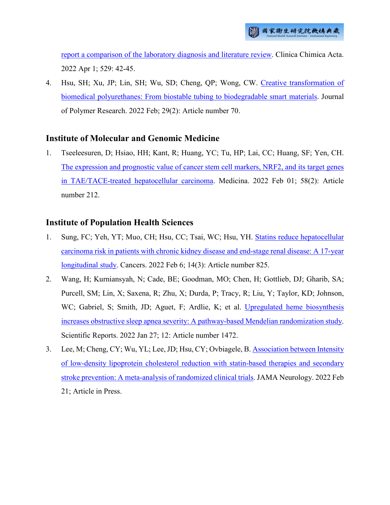[report a comparison of the laboratory diagnosis and literature review.](http://ir.nhri.edu.tw/handle/3990099045/14051) Clinica Chimica Acta. 2022 Apr 1; 529: 42-45.

4. Hsu, SH; Xu, JP; Lin, SH; Wu, SD; Cheng, QP; Wong, CW. [Creative transformation of](http://ir.nhri.edu.tw/handle/3990099045/14052)  [biomedical polyurethanes: From biostable tubing to biodegradable smart materials.](http://ir.nhri.edu.tw/handle/3990099045/14052) Journal of Polymer Research. 2022 Feb; 29(2): Article number 70.

# **Institute of Molecular and Genomic Medicine**

1. Tseeleesuren, D; Hsiao, HH; Kant, R; Huang, YC; Tu, HP; Lai, CC; Huang, SF; Yen, CH. [The expression and prognostic value of cancer stem cell markers, NRF2, and its target genes](http://ir.nhri.edu.tw/handle/3990099045/14068)  [in TAE/TACE-treated hepatocellular carcinoma.](http://ir.nhri.edu.tw/handle/3990099045/14068) Medicina. 2022 Feb 01; 58(2): Article number 212.

# **Institute of Population Health Sciences**

- 1. Sung, FC; Yeh, YT; Muo, CH; Hsu, CC; Tsai, WC; Hsu, YH. [Statins reduce hepatocellular](http://ir.nhri.edu.tw/handle/3990099045/14064) [carcinoma risk in patients with chronic kidney disease and end-stage renal disease: A 17-year](http://ir.nhri.edu.tw/handle/3990099045/14064)  [longitudinal study.](http://ir.nhri.edu.tw/handle/3990099045/14064) Cancers. 2022 Feb 6; 14(3): Article number 825.
- 2. Wang, H; Kurniansyah, N; Cade, BE; Goodman, MO; Chen, H; Gottlieb, DJ; Gharib, SA; Purcell, SM; Lin, X; Saxena, R; Zhu, X; Durda, P; Tracy, R; Liu, Y; Taylor, KD; Johnson, WC; Gabriel, S; Smith, JD; Aguet, F; Ardlie, K; et al. [Upregulated heme biosynthesis](http://ir.nhri.edu.tw/handle/3990099045/14070)  [increases obstructive sleep apnea severity: A pathway-based Mendelian randomization study.](http://ir.nhri.edu.tw/handle/3990099045/14070) Scientific Reports. 2022 Jan 27; 12: Article number 1472.
- 3. Lee, M; Cheng, CY; Wu, YL; Lee, JD; Hsu, CY; Ovbiagele, B[. Association between Intensity](http://ir.nhri.edu.tw/handle/3990099045/14075)  [of low-density lipoprotein cholesterol reduction with statin-based therapies and secondary](http://ir.nhri.edu.tw/handle/3990099045/14075)  [stroke prevention: A meta-analysis of randomized clinical trials.](http://ir.nhri.edu.tw/handle/3990099045/14075) JAMA Neurology. 2022 Feb 21; Article in Press.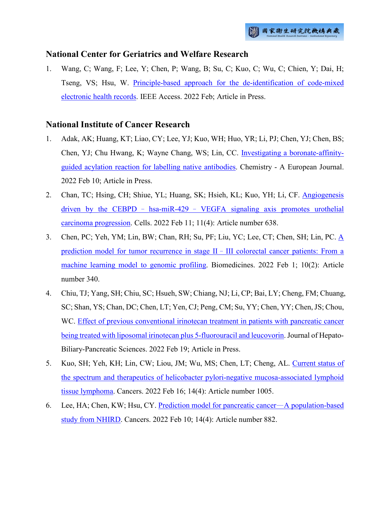#### **National Center for Geriatrics and Welfare Research**

1. Wang, C; Wang, F; Lee, Y; Chen, P; Wang, B; Su, C; Kuo, C; Wu, C; Chien, Y; Dai, H; Tseng, VS; Hsu, W. [Principle-based approach for the de-identification of code-mixed](http://ir.nhri.edu.tw/handle/3990099045/14074)  [electronic health records.](http://ir.nhri.edu.tw/handle/3990099045/14074) IEEE Access. 2022 Feb; Article in Press.

## **National Institute of Cancer Research**

- 1. Adak, AK; Huang, KT; Liao, CY; Lee, YJ; Kuo, WH; Huo, YR; Li, PJ; Chen, YJ; Chen, BS; Chen, YJ; Chu Hwang, K; Wayne Chang, WS; Lin, CC. [Investigating a boronate-affinity](http://ir.nhri.edu.tw/handle/3990099045/14040)[guided acylation reaction for labelling native antibodies.](http://ir.nhri.edu.tw/handle/3990099045/14040) Chemistry - A European Journal. 2022 Feb 10; Article in Press.
- 2. Chan, TC; Hsing, CH; Shiue, YL; Huang, SK; Hsieh, KL; Kuo, YH; Li, CF. [Angiogenesis](http://ir.nhri.edu.tw/handle/3990099045/14042)  driven by the CEBPD – hsa-miR-429 – [VEGFA signaling axis promotes urothelial](http://ir.nhri.edu.tw/handle/3990099045/14042)  [carcinoma progression.](http://ir.nhri.edu.tw/handle/3990099045/14042) Cells. 2022 Feb 11; 11(4): Article number 638.
- 3. Chen, PC; Yeh, YM; Lin, BW; Chan, RH; Su, PF; Liu, YC; Lee, CT; Chen, SH; Lin, PC. [A](http://ir.nhri.edu.tw/handle/3990099045/14045)  [prediction model for tumor recurrence in stage II](http://ir.nhri.edu.tw/handle/3990099045/14045)–III colorectal cancer patients: From a [machine learning model to genomic profiling.](http://ir.nhri.edu.tw/handle/3990099045/14045) Biomedicines. 2022 Feb 1; 10(2): Article number 340.
- 4. Chiu, TJ; Yang, SH; Chiu, SC; Hsueh, SW; Chiang, NJ; Li, CP; Bai, LY; Cheng, FM; Chuang, SC; Shan, YS; Chan, DC; Chen, LT; Yen, CJ; Peng, CM; Su, YY; Chen, YY; Chen, JS; Chou, WC. [Effect of previous conventional irinotecan treatment in patients with pancreatic cancer](http://ir.nhri.edu.tw/handle/3990099045/14049)  [being treated with liposomal irinotecan plus 5-fluorouracil and leucovorin.](http://ir.nhri.edu.tw/handle/3990099045/14049) Journal of Hepato-Biliary-Pancreatic Sciences. 2022 Feb 19; Article in Press.
- 5. Kuo, SH; Yeh, KH; Lin, CW; Liou, JM; Wu, MS; Chen, LT; Cheng, AL. [Current status of](http://ir.nhri.edu.tw/handle/3990099045/14058)  [the spectrum and therapeutics of helicobacter pylori-negative mucosa-associated lymphoid](http://ir.nhri.edu.tw/handle/3990099045/14058)  [tissue lymphoma.](http://ir.nhri.edu.tw/handle/3990099045/14058) Cancers. 2022 Feb 16; 14(4): Article number 1005.
- 6. Lee, HA; Chen, KW; Hsu, CY. [Prediction model for pancreatic cancer](http://ir.nhri.edu.tw/handle/3990099045/14060)—A population-based [study from NHIRD.](http://ir.nhri.edu.tw/handle/3990099045/14060) Cancers. 2022 Feb 10; 14(4): Article number 882.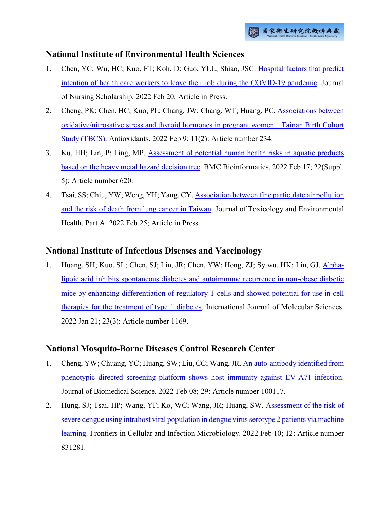## **National Institute of Environmental Health Sciences**

- 1. Chen, YC; Wu, HC; Kuo, FT; Koh, D; Guo, YLL; Shiao, JSC. [Hospital factors that predict](http://ir.nhri.edu.tw/handle/3990099045/14046)  [intention of health care workers to leave their job during the COVID-19 pandemic.](http://ir.nhri.edu.tw/handle/3990099045/14046) Journal of Nursing Scholarship. 2022 Feb 20; Article in Press.
- 2. Cheng, PK; Chen, HC; Kuo, PL; Chang, JW; Chang, WT; Huang, PC. [Associations between](http://ir.nhri.edu.tw/handle/3990099045/14047)  [oxidative/nitrosative stress and thyroid hormones in pregnant women](http://ir.nhri.edu.tw/handle/3990099045/14047)—Tainan Birth Cohort [Study \(TBCS\).](http://ir.nhri.edu.tw/handle/3990099045/14047) Antioxidants. 2022 Feb 9; 11(2): Article number 234.
- 3. Ku, HH; Lin, P; Ling, MP. [Assessment of potential human health risks in aquatic products](http://ir.nhri.edu.tw/handle/3990099045/14057)  [based on the heavy metal hazard decision tree.](http://ir.nhri.edu.tw/handle/3990099045/14057) BMC Bioinformatics. 2022 Feb 17; 22(Suppl. 5): Article number 620.
- 4. Tsai, SS; Chiu, YW; Weng, YH; Yang, CY. [Association between fine particulate air pollution](http://ir.nhri.edu.tw/handle/3990099045/14066)  [and the risk of death from lung cancer in Taiwan.](http://ir.nhri.edu.tw/handle/3990099045/14066) Journal of Toxicology and Environmental Health. Part A. 2022 Feb 25; Article in Press.

## **National Institute of Infectious Diseases and Vaccinology**

1. Huang, SH; Kuo, SL; Chen, SJ; Lin, JR; Chen, YW; Hong, ZJ; Sytwu, HK; Lin, GJ. [Alpha](http://ir.nhri.edu.tw/handle/3990099045/14053)[lipoic acid inhibits spontaneous diabetes and autoimmune recurrence in non-obese diabetic](http://ir.nhri.edu.tw/handle/3990099045/14053)  [mice by enhancing differentiation of regulatory T cells and showed potential for use in cell](http://ir.nhri.edu.tw/handle/3990099045/14053)  [therapies for the treatment of type 1 diabetes.](http://ir.nhri.edu.tw/handle/3990099045/14053) International Journal of Molecular Sciences. 2022 Jan 21; 23(3): Article number 1169.

# **National Mosquito-Borne Diseases Control Research Center**

- 1. Cheng, YW; Chuang, YC; Huang, SW; Liu, CC; Wang, JR. [An auto-antibody identified from](http://ir.nhri.edu.tw/handle/3990099045/14048)  phenotypic directed screening platform [shows host immunity against EV-A71 infection.](http://ir.nhri.edu.tw/handle/3990099045/14048) Journal of Biomedical Science. 2022 Feb 08; 29: Article number 100117.
- 2. Hung, SJ; Tsai, HP; Wang, YF; Ko, WC; Wang, JR; Huang, SW. [Assessment of the risk of](http://ir.nhri.edu.tw/handle/3990099045/14054)  [severe dengue using intrahost viral population in dengue virus serotype 2 patients via machine](http://ir.nhri.edu.tw/handle/3990099045/14054)  [learning.](http://ir.nhri.edu.tw/handle/3990099045/14054) Frontiers in Cellular and Infection Microbiology. 2022 Feb 10; 12: Article number 831281.